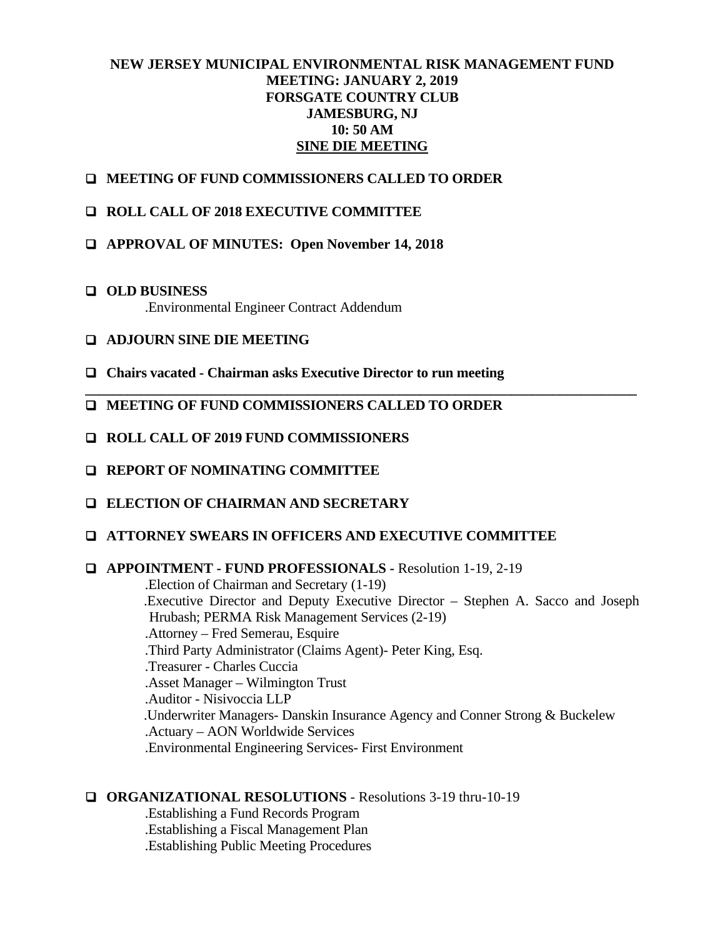# **NEW JERSEY MUNICIPAL ENVIRONMENTAL RISK MANAGEMENT FUND MEETING: JANUARY 2, 2019 FORSGATE COUNTRY CLUB JAMESBURG, NJ 10: 50 AM SINE DIE MEETING**

**\_\_\_\_\_\_\_\_\_\_\_\_\_\_\_\_\_\_\_\_\_\_\_\_\_\_\_\_\_\_\_\_\_\_\_\_\_\_\_\_\_\_\_\_\_\_\_\_\_\_\_\_\_\_\_\_\_\_\_\_\_\_\_\_\_\_\_\_\_\_\_\_\_\_\_\_\_\_\_** 

- **MEETING OF FUND COMMISSIONERS CALLED TO ORDER**
- **ROLL CALL OF 2018 EXECUTIVE COMMITTEE**
- **APPROVAL OF MINUTES: Open November 14, 2018**
- **OLD BUSINESS**  .Environmental Engineer Contract Addendum
- **ADJOURN SINE DIE MEETING**
- **Chairs vacated Chairman asks Executive Director to run meeting**
- **MEETING OF FUND COMMISSIONERS CALLED TO ORDER**
- **ROLL CALL OF 2019 FUND COMMISSIONERS**
- **REPORT OF NOMINATING COMMITTEE**
- **ELECTION OF CHAIRMAN AND SECRETARY**
- **ATTORNEY SWEARS IN OFFICERS AND EXECUTIVE COMMITTEE**

#### **APPOINTMENT - FUND PROFESSIONALS -** Resolution 1-19, 2-19

 .Election of Chairman and Secretary (1-19) .Executive Director and Deputy Executive Director – Stephen A. Sacco and Joseph Hrubash; PERMA Risk Management Services (2-19) .Attorney – Fred Semerau, Esquire .Third Party Administrator (Claims Agent)- Peter King, Esq. .Treasurer - Charles Cuccia .Asset Manager – Wilmington Trust .Auditor - Nisivoccia LLP .Underwriter Managers- Danskin Insurance Agency and Conner Strong & Buckelew .Actuary – AON Worldwide Services .Environmental Engineering Services- First Environment

### **ORGANIZATIONAL RESOLUTIONS** - Resolutions 3-19 thru-10-19

 .Establishing a Fund Records Program .Establishing a Fiscal Management Plan .Establishing Public Meeting Procedures